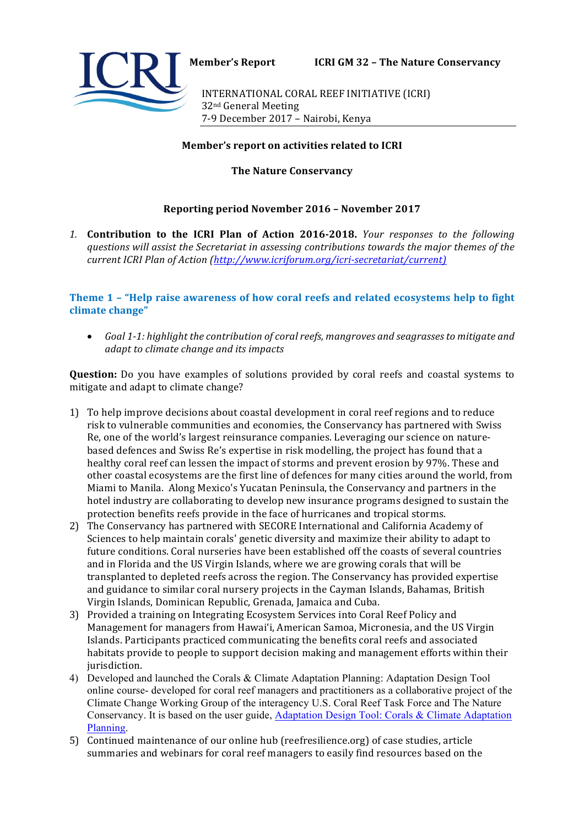

**Member's Report ICRI GM 32 - The Nature Conservancy** 

INTERNATIONAL CORAL REEF INITIATIVE (ICRI) 32nd General Meeting 7-9 December 2017 - Nairobi, Kenya

## **Member's report on activities related to ICRI**

**The Nature Conservancy** 

# **Reporting period November 2016 - November 2017**

1. **Contribution to the ICRI Plan of Action 2016-2018.** *Your responses to the following* questions will assist the Secretariat in assessing contributions towards the major themes of the *current ICRI Plan of Action (http://www.icriforum.org/icri-secretariat/current)*

**Theme 1 - "Help raise awareness of how coral reefs and related ecosystems help to fight** climate change"

• Goal 1-1: highlight the contribution of coral reefs, mangroves and seagrasses to mitigate and *adapt* to climate change and its impacts

**Question:** Do you have examples of solutions provided by coral reefs and coastal systems to mitigate and adapt to climate change?

- 1) To help improve decisions about coastal development in coral reef regions and to reduce risk to vulnerable communities and economies, the Conservancy has partnered with Swiss Re, one of the world's largest reinsurance companies. Leveraging our science on naturebased defences and Swiss Re's expertise in risk modelling, the project has found that a healthy coral reef can lessen the impact of storms and prevent erosion by 97%. These and other coastal ecosystems are the first line of defences for many cities around the world, from Miami to Manila. Along Mexico's Yucatan Peninsula, the Conservancy and partners in the hotel industry are collaborating to develop new insurance programs designed to sustain the protection benefits reefs provide in the face of hurricanes and tropical storms.
- 2) The Conservancy has partnered with SECORE International and California Academy of Sciences to help maintain corals' genetic diversity and maximize their ability to adapt to future conditions. Coral nurseries have been established off the coasts of several countries and in Florida and the US Virgin Islands, where we are growing corals that will be transplanted to depleted reefs across the region. The Conservancy has provided expertise and guidance to similar coral nursery projects in the Cayman Islands, Bahamas, British Virgin Islands, Dominican Republic, Grenada, Jamaica and Cuba.
- 3) Provided a training on Integrating Ecosystem Services into Coral Reef Policy and Management for managers from Hawai'i, American Samoa, Micronesia, and the US Virgin Islands. Participants practiced communicating the benefits coral reefs and associated habitats provide to people to support decision making and management efforts within their jurisdiction.
- 4) Developed and launched the Corals & Climate Adaptation Planning: Adaptation Design Tool online course- developed for coral reef managers and practitioners as a collaborative project of the Climate Change Working Group of the interagency U.S. Coral Reef Task Force and The Nature Conservancy. It is based on the user guide, Adaptation Design Tool: Corals & Climate Adaptation Planning.
- 5) Continued maintenance of our online hub (reefresilience.org) of case studies, article summaries and webinars for coral reef managers to easily find resources based on the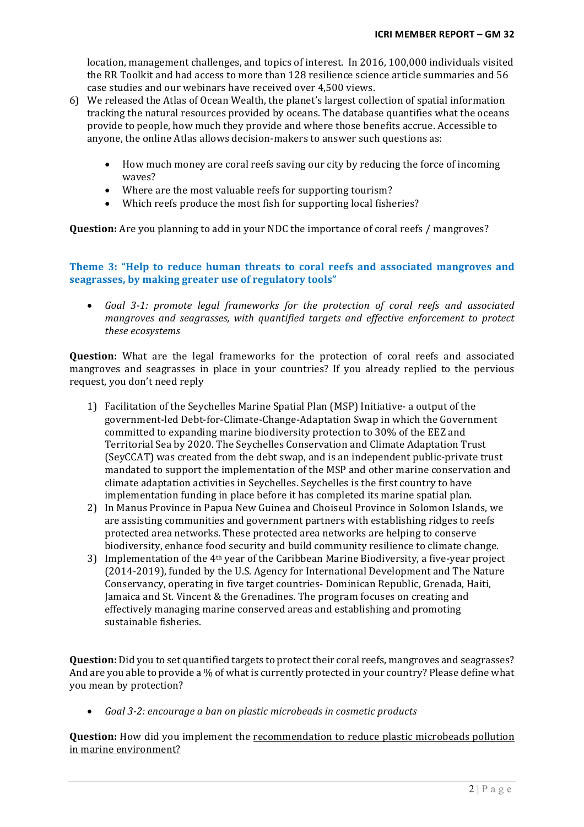location, management challenges, and topics of interest. In 2016, 100,000 individuals visited the RR Toolkit and had access to more than 128 resilience science article summaries and 56 case studies and our webinars have received over 4,500 views.

- 6) We released the Atlas of Ocean Wealth, the planet's largest collection of spatial information tracking the natural resources provided by oceans. The database quantifies what the oceans provide to people, how much they provide and where those benefits accrue. Accessible to anyone, the online Atlas allows decision-makers to answer such questions as:
	- How much money are coral reefs saving our city by reducing the force of incoming waves?
	- Where are the most valuable reefs for supporting tourism?
	- Which reefs produce the most fish for supporting local fisheries?

**Question:** Are you planning to add in your NDC the importance of coral reefs / mangroves?

#### **Theme 3: "Help to reduce human threats to coral reefs and associated mangroves and** seagrasses, by making greater use of regulatory tools"

• Goal 3-1: promote legal frameworks for the protection of coral reefs and associated *mangroves and seagrasses, with quantified targets and effective enforcement to protect these ecosystems* 

**Question:** What are the legal frameworks for the protection of coral reefs and associated mangroves and seagrasses in place in your countries? If you already replied to the pervious request, you don't need reply

- 1) Facilitation of the Seychelles Marine Spatial Plan (MSP) Initiative- a output of the government-led Debt-for-Climate-Change-Adaptation Swap in which the Government committed to expanding marine biodiversity protection to 30% of the EEZ and Territorial Sea by 2020. The Seychelles Conservation and Climate Adaptation Trust (SeyCCAT) was created from the debt swap, and is an independent public-private trust mandated to support the implementation of the MSP and other marine conservation and climate adaptation activities in Seychelles. Seychelles is the first country to have implementation funding in place before it has completed its marine spatial plan.
- 2) In Manus Province in Papua New Guinea and Choiseul Province in Solomon Islands, we are assisting communities and government partners with establishing ridges to reefs protected area networks. These protected area networks are helping to conserve biodiversity, enhance food security and build community resilience to climate change.
- 3) Implementation of the  $4<sup>th</sup>$  year of the Caribbean Marine Biodiversity, a five-year project (2014-2019), funded by the U.S. Agency for International Development and The Nature Conservancy, operating in five target countries- Dominican Republic, Grenada, Haiti, Jamaica and St. Vincent & the Grenadines. The program focuses on creating and effectively managing marine conserved areas and establishing and promoting sustainable fisheries.

**Question:** Did you to set quantified targets to protect their coral reefs, mangroves and seagrasses? And are you able to provide a % of what is currently protected in your country? Please define what you mean by protection?

• *Goal 3-2: encourage a ban on plastic microbeads in cosmetic products* 

**Question:** How did you implement the recommendation to reduce plastic microbeads pollution in marine environment?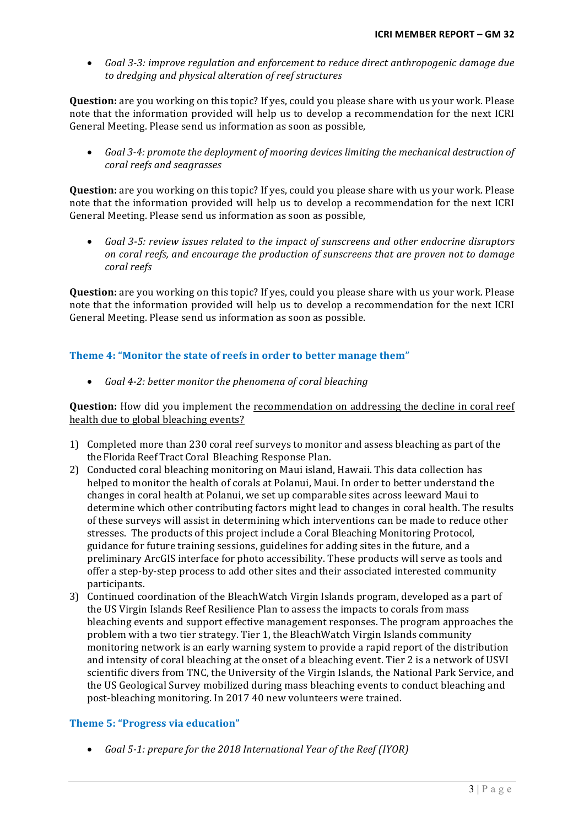• Goal 3-3: improve regulation and enforcement to reduce direct anthropogenic damage due to dredging and physical alteration of reef structures

**Question:** are you working on this topic? If yes, could you please share with us your work. Please note that the information provided will help us to develop a recommendation for the next ICRI General Meeting. Please send us information as soon as possible,

Goal 3-4: promote the deployment of mooring devices limiting the mechanical destruction of *coral reefs and seagrasses* 

**Question:** are you working on this topic? If yes, could you please share with us your work. Please note that the information provided will help us to develop a recommendation for the next ICRI General Meeting. Please send us information as soon as possible.

• *Goal 3-5: review issues related to the impact of sunscreens and other endocrine disruptors on* coral reefs, and encourage the production of sunscreens that are proven not to damage *coral reefs* 

**Question:** are you working on this topic? If yes, could you please share with us your work. Please note that the information provided will help us to develop a recommendation for the next ICRI General Meeting. Please send us information as soon as possible.

# **Theme 4: "Monitor the state of reefs in order to better manage them"**

• *Goal 4-2: better monitor the phenomena of coral bleaching* 

**Question:** How did you implement the recommendation on addressing the decline in coral reef health due to global bleaching events?

- 1) Completed more than 230 coral reef surveys to monitor and assess bleaching as part of the the Florida Reef Tract Coral Bleaching Response Plan.
- 2) Conducted coral bleaching monitoring on Maui island, Hawaii. This data collection has helped to monitor the health of corals at Polanui, Maui. In order to better understand the changes in coral health at Polanui, we set up comparable sites across leeward Maui to determine which other contributing factors might lead to changes in coral health. The results of these surveys will assist in determining which interventions can be made to reduce other stresses. The products of this project include a Coral Bleaching Monitoring Protocol, guidance for future training sessions, guidelines for adding sites in the future, and a preliminary ArcGIS interface for photo accessibility. These products will serve as tools and offer a step-by-step process to add other sites and their associated interested community participants.
- 3) Continued coordination of the BleachWatch Virgin Islands program, developed as a part of the US Virgin Islands Reef Resilience Plan to assess the impacts to corals from mass bleaching events and support effective management responses. The program approaches the problem with a two tier strategy. Tier 1, the BleachWatch Virgin Islands community monitoring network is an early warning system to provide a rapid report of the distribution and intensity of coral bleaching at the onset of a bleaching event. Tier 2 is a network of USVI scientific divers from TNC, the University of the Virgin Islands, the National Park Service, and the US Geological Survey mobilized during mass bleaching events to conduct bleaching and post-bleaching monitoring. In 2017 40 new volunteers were trained.

## **Theme 5: "Progress via education"**

• *Goal* 5-1: prepare for the 2018 International Year of the Reef (IYOR)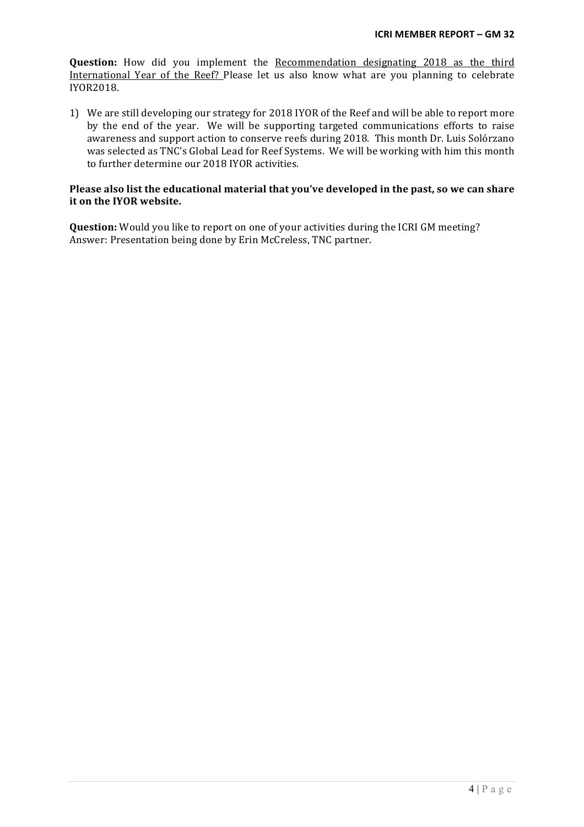**Question:** How did you implement the Recommendation designating 2018 as the third International Year of the Reef? Please let us also know what are you planning to celebrate IYOR2018.

1) We are still developing our strategy for 2018 IYOR of the Reef and will be able to report more by the end of the year. We will be supporting targeted communications efforts to raise awareness and support action to conserve reefs during 2018. This month Dr. Luis Solórzano was selected as TNC's Global Lead for Reef Systems. We will be working with him this month to further determine our 2018 IYOR activities.

#### Please also list the educational material that you've developed in the past, so we can share **it on the IYOR website.**

**Question:** Would you like to report on one of your activities during the ICRI GM meeting? Answer: Presentation being done by Erin McCreless, TNC partner.